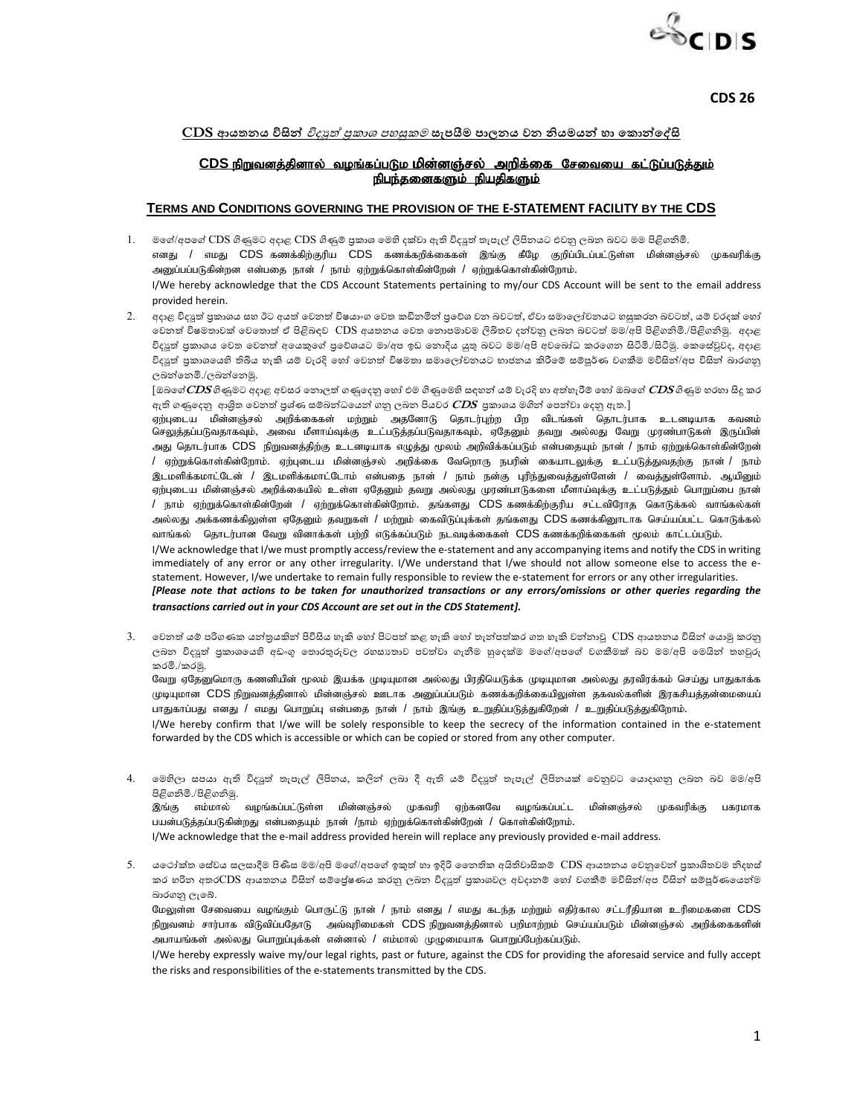

**CDS 26**

## <u>CDS අායතනය විසින් *විද්යූත් පුකාශ පහසුකම* සැපයීම පාලනය වන නියමයන් හා කොන්දේසි</u>

## <u>CDS நிறுவனத்தினால் வழங்கப்படும மின்னஞ்சல் அறிக்கை சேவையை கட்டுப்படுத்தும்</u> நிபந்தனைகளும் நியதிகளும்

## **TERMS AND CONDITIONS GOVERNING THE PROVISION OF THE E-STATEMENT FACILITY BY THE CDS**

- 1. මගේ/අපගේ CDS ගිණුමට අදාළ CDS ගිණුම් පුකාශ මෙහි දක්වා ඇති විදසුත් තැපැල් ලිපිනයට එවනු ලබන බවට මම පිළිගනිමි. எனது / எமது CDS கணக்கிற்குரிய CDS கணக்கறிக்கைகள் இங்கு கீழே குறிப்பிடப்பட்டுள்ள மின்னஞ்சல் முகவரிக்கு அனுப்பப்படுகின்றன என்பதை நான் / நாம் ஏற்றுக்கொள்கின்றேன் / ஏற்றுக்கொள்கின்றோம். I/We hereby acknowledge that the CDS Account Statements pertaining to my/our CDS Account will be sent to the email address provided herein.
- 2. අදාළ විදයූත් පුකාශය සහ ඊට අයත් වෙනත් විෂයාංග වෙත කඩිනමින් පුවේශ වන බවටත්, ඒවා සමාලෝචනයට හසුකරන බවටත්, යම් වරදක් හෝ වෙනත් විෂමතාවක් වෙතොත් ඒ පිළිබඳව CDS අයතනය වෙත තොපමාවම ලිඛිතව දන්වනු ලබන බවටත් මම/අපි පිළිගනිමි./පිළිගනිමු. අදාළ විදයූත් පුකාශය වෙත වෙනත් අයෙකුගේ පුවේශයට මා/අප ඉඩ නොදිය යුතු බවට මම/අපි අවබෝධ කරගෙන සිටිමි./සිටිමු. කෙසේවුවද, අදාළ විදයූත් පුකාශයෙහි තිබිය හැකි යම් වැරදි හෝ වෙනත් විෂමතා සමාලෝචනයට භාජනය කිරීමේ සම්පූර්ණ වගකීම මව්සින්/අප විසින් බාරගනු ලබන්තෙමි./ලබන්තෙමු.

[ඔබගේ $\bm{C\!DS}$ ගිණුමට අදාළ අවසර නොලත් ගණුදෙනු හෝ එම ගිණුමෙහි සඳහන් යම් වැරදි හා අත්හැරීම් හෝ ඔබගේ  $\bm{C\!DS}$ ගිණුම හරහා සිදු කර ඇති ගණුදෙනු ආශිත වෙනත් පුශ්ණ සම්බන්ධයෙන් ගනු ලබන පියවර *CDS* පුකාශය මගින් පෙන්වා දෙනු ඇත.]

ஏற்புடைய மின்னஞ்சல் அறிக்கைகள் மற்றும் அதனோடு தொடர்புற்ற பிற விடங்கள் தொடர்பாக உடனடியாக கவனம் செலுத்தப்படுவதாகவும், அவை மீளாய்வுக்கு உட்படுத்தப்படுவதாகவும், ஏதேனும் தவறு அல்லது வேறு முரண்பாடுகள் இருப்பின் அது தொடர்பாக CDS நிறுவனத்திற்கு உடனடியாக எழுத்து மூலம் அறிவிக்கப்படும் என்பதையும் நான் / நாம் ஏற்றுக்கொள்கின்றேன் / ஏற்றுக்கொள்கின்றோம். ஏற்புடைய மின்னஞ்சல் அறிக்கை வேறொரு நபரின் கையாடலுக்கு உட்படுத்துவதற்கு நான் / நாம் .<br>இடமளிக்கமாட்டேன் / இடமளிக்கமாட்டோம் என்பதை நான் / நாம் நன்கு புரிந்துவைத்துள்ளேன் / வைத்துள்ளோம். ஆயினும் ஏற்புடைய மின்னஞ்சல் அறிக்கையில் உள்ள ஏதேனும் தவறு அல்லது முரண்பாடுகளை மீளாய்வுக்கு உட்படுத்தும் பொறுப்பை நான் / நாம் ஏற்றுக்கொள்கின்றேன் / ஏற்றுக்கொள்கின்றோம். தங்களது  $CDS$ கணக்கிற்குரிய சட்டவிரோத கொடுக்கல் வாங்கல்கள் அல்லது அக்கணக்கிலுள்ள ஏதேனும் தவறுகள் / மற்றும் கைவிடுப்புக்கள் தங்களது CDS கணக்கினூடாக செய்யப்பட்ட கொடுக்கல் வாங்கல் தொடர்பான வேறு வினாக்கள் பற்றி எடுக்கப்படும் நடவடிக்கைகள் CDS கணக்கறிக்கைகள் மூலம் காட்டப்படும்.

I/We acknowledge that I/we must promptly access/review the e-statement and any accompanying items and notify the CDS in writing immediately of any error or any other irregularity. I/We understand that I/we should not allow someone else to access the estatement. However, I/we undertake to remain fully responsible to review the e-statement for errors or any other irregularities.

*[Please note that actions to be taken for unauthorized transactions or any errors/omissions or other queries regarding the transactions carried out in your CDS Account are set out in the CDS Statement].*

3. වෙනත් යම් පරිගණක යන්තුයකින් පිවිසිය හැකි හෝ පිටපත් කළ හැකි හෝ තැන්පත්කර ගත හැකි වන්නාවූ  $\overline{\rm CDS}$  ආයතනය විසින් යොමු කරනු ලබන විදවූත් පුකාශයෙහි අඩංගු තොරතුරුවල රහසානාව පවත්වා ගැනීම හුදෙක්ම මගේ/අපගේ වගකීමක් බව මම/අපි මෙයින් තහවුුරු කානමි./කානමු.

வேறு ஏதேனுமொரு கணனியின் மூலம் இயக்க முடியுமான அல்லது பிரதியெடுக்க முடியுமான அல்லது தரவிரக்கம் செய்து பாதுகாக்க முடியுமான CDS நிறுவனத்தினால் மின்னஞ்சல் ஊடாக அனுப்பப்படும் கணக்கறிக்கையிலுள்ள தகவல்களின் இரகசியத்தன்மையைப் பாதுகாப்பது எனது / எமது பொறுப்பு என்பதை நான் / நாம் இங்கு உறுதிப்படுத்துகிறேன் / உறுதிப்படுத்துகிறோம்.

I/We hereby confirm that I/we will be solely responsible to keep the secrecy of the information contained in the e-statement forwarded by the CDS which is accessible or which can be copied or stored from any other computer.

4. මෙහිලා සපයා ඇති විදඹුත් තැපැල් ලිපිනය, කලින් ලබා දී ඇති යම් විදඹුත් තැපැල් ලිපිනයක් වෙනුවට යොදාගනු ලබන බව මම/අපි පිළිගනිමි./පිළිගනිමු.

.<br>இங்கு எம்மால் வழங்கப்பட்டுள்ள மின்னஞ்சல் முகவரி ஏற்கனவே வழங்கப்பட்ட மின்னஞ்சல் முகவரிக்கு பகரமாக பயன்படுத்தப்படுகின்றது என்பதையும் நான் /நாம் ஏற்றுக்கொள்கின்றேன் / கொள்கின்றோம்.

I/We acknowledge that the e-mail address provided herein will replace any previously provided e-mail address.

5. යථෝක්ත සේවය සලසාදීම පිණිස මම/අපි මගේ/අපගේ ඉකුත් හා ඉදිරි නෛතික අයිතිවාසිකම්  $\rm{CDS}$  ආයතනය වෙනුවෙන් පුකාශිතවම නිදහස් කර හරින අතරCDS ආයතනය විසින් සම්පේුෂණය කරනු ලබන විද**ුත් පුකාශවල අවදානම් හෝ වගකීම් මව්සින්**/අප විසින් සම්පූර්ණයෙන්ම බාරගනු ලැබේ.

மேலுள்ள சேவையை வழங்கும் பொருட்டு நான் / நாம் எனது / எமது கடந்த மற்றும் எதிர்கால சட்டரீதியான உரிமைகளை CDS நிறுவனம் சார்பாக விடுவிப்பதோடு அவ்வுரிமைகள் CDS நிறுவனத்தினால் பறிமாற்றம் செய்யப்படும் மின்னஞ்சல் அறிக்கைகளின அபாயங்கள் அல்லது பொறுப்புக்கள் என்னால் / எம்மால் முழுமையாக பொறுப்பேற்கப்படும்.

I/We hereby expressly waive my/our legal rights, past or future, against the CDS for providing the aforesaid service and fully accept the risks and responsibilities of the e-statements transmitted by the CDS.